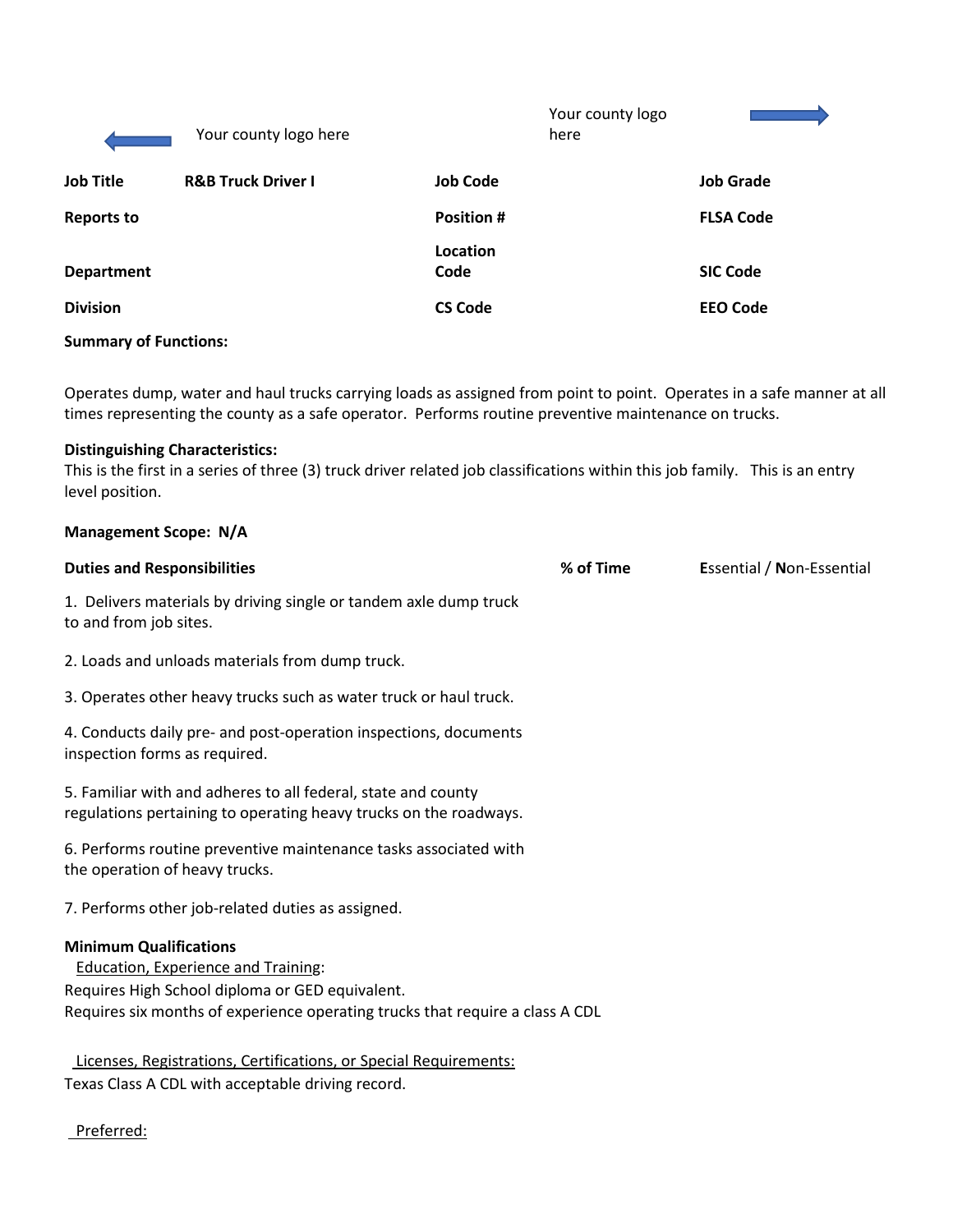|                   | Your county logo here         |                   | Your county logo<br>here |                  |
|-------------------|-------------------------------|-------------------|--------------------------|------------------|
| <b>Job Title</b>  | <b>R&amp;B Truck Driver I</b> | <b>Job Code</b>   |                          | <b>Job Grade</b> |
| <b>Reports to</b> |                               | <b>Position #</b> |                          | <b>FLSA Code</b> |
| <b>Department</b> |                               | Location<br>Code  |                          | <b>SIC Code</b>  |
| <b>Division</b>   |                               | <b>CS Code</b>    |                          | <b>EEO Code</b>  |

#### **Summary of Functions:**

Operates dump, water and haul trucks carrying loads as assigned from point to point. Operates in a safe manner at all times representing the county as a safe operator. Performs routine preventive maintenance on trucks.

#### **Distinguishing Characteristics:**

This is the first in a series of three (3) truck driver related job classifications within this job family. This is an entry level position.

# **Management Scope: N/A Duties and Responsibilities % of Time E**ssential / **N**on-Essential 1. Delivers materials by driving single or tandem axle dump truck to and from job sites. 2. Loads and unloads materials from dump truck. 3. Operates other heavy trucks such as water truck or haul truck. 4. Conducts daily pre- and post-operation inspections, documents inspection forms as required. 5. Familiar with and adheres to all federal, state and county regulations pertaining to operating heavy trucks on the roadways. 6. Performs routine preventive maintenance tasks associated with the operation of heavy trucks. 7. Performs other job-related duties as assigned. **Minimum Qualifications** Education, Experience and Training: Requires High School diploma or GED equivalent. Requires six months of experience operating trucks that require a class A CDL Licenses, Registrations, Certifications, or Special Requirements: Texas Class A CDL with acceptable driving record.

Preferred: